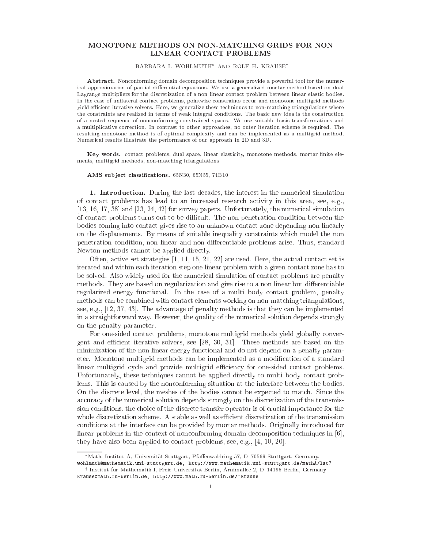# MONOTONE METHODS ON NON-MATCHING GRIDS FOR NON LINEAR CONTACT PROBLEMS

## BARBARA I. WOHLMUTH\* AND ROLF H. KRAUSE<sup>†</sup>

Abstract. Nonconforming domain decomposition techniques provide a powerful tool for the numerical approximation of partial differential equations. We use a generalized mortar method based on dual Lagrange multipliers for the discretization of a non linear contact problem between linear elastic bodies. In the case of unilateral contact problems, pointwise constraints occur and monotone multigrid methods yield efficient iterative solvers. Here, we generalize these techniques to non-matching triangulations where the constraints are realized in terms of weak integral conditions. The basic new idea is the construction of a nested sequen
e of non
onforming onstrained spa
es. We use suitable basis transformations and a multiplicative correction. In contrast to other approaches, no outer iteration scheme is required. The resulting monotone method is of optimal omplexity and an be implemented as a multigrid method. Numeri
al results illustrate the performan
e of our approa
h in 2D and 3D.

Key words. contact problems, dual space, linear elasticity, monotone methods, mortar finite elements, multigrid methods, non-mat
hing triangulations

## AMS subject classifications. 65N30, 65N55, 74B10

1. Introduction. During the last decades, the interest in the numerical simulation of onta
t problems has lead to an in
reased resear
h a
tivity in this area, see, e.g.,  $[13, 16, 17, 38]$  and  $[23, 24, 42]$  for survey papers. Unfortunately, the numerical simulation of contact problems turns out to be difficult. The non penetration condition between the bodies oming into onta
t gives rise to an unknown onta
t zone depending non linearly on the displa
ements. By means of suitable inequality onstraints whi
h model the non penetration condition, non linear and non differentiable problems arise. Thus, standard Newton methods cannot be applied directly.

Often, active set strategies  $[1, 11, 15, 21, 22]$  are used. Here, the actual contact set is iterated and within each iteration step one linear problem with a given contact zone has to be solved. Also widely used for the numerical simulation of contact problems are penalty methods. They are based on regularization and give rise to a non linear but differentiable regularized energy functional. In the case of a multi body contact problem, penalty methods an be ombined with onta
t elements working on non-mat
hing triangulations, see, e.g.,  $[12, 37, 43]$ . The advantage of penalty methods is that they can be implemented in a straightforward way. However, the quality of the numeri
al solution depends strongly on the penalty parameter.

For one-sided onta
t problems, monotone multigrid methods yield globally onvergent and efficient iterative solvers, see  $[28, 30, 31]$ . These methods are based on the minimization of the non linear energy fun
tional and do not depend on a penalty parameter. Monotone multigrid methods can be implemented as a modification of a standard linear multigrid cycle and provide multigrid efficiency for one-sided contact problems. Unfortunately, these techniques cannot be applied directly to multi body contact problems. This is aused by the non
onforming situation at the interfa
e between the bodies. On the discrete level, the meshes of the bodies cannot be expected to match. Since the accuracy of the numerical solution depends strongly on the discretization of the transmission conditions, the choice of the discrete transfer operator is of crucial importance for the whole discretization scheme. A stable as well as efficient discretization of the transmission onditions at the interfa
e an be provided by mortar methods. Originally introdu
ed for linear problems in the context of nonconforming domain decomposition techniques in  $[6]$ , they have also been applied to contact problems, see, e.g.,  $[4, 10, 20]$ .

<sup>\*</sup>Math. Institut A, Universität Stuttgart, Pfaffenwaldring 57, D-70569 Stuttgart, Germany. wohlmuth@mathematik.uni-stuttgart.de, http://www.mathematik.uni-stuttgart.de/mathA/lst7

<sup>y</sup> Institut fur Mathematik I, Freie Universitat Berlin, Arnimallee 2, D{14195 Berlin, Germany krausemath.fu-berlin.de, http://www.math.fu-berlin.de/~krause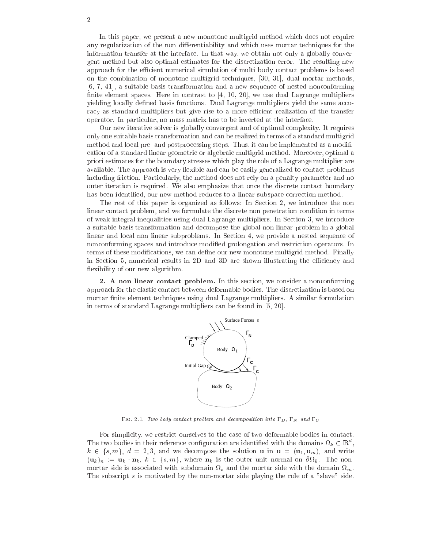In this paper, we present a new monotone multigrid method whi
h does not require any regularization of the non differentiability and which uses mortar techniques for the information transfer at the interfa
e. In that way, we obtain not only a globally onvergent method but also optimal estimates for the dis
retization error. The resulting new approach for the efficient numerical simulation of multi body contact problems is based on the combination of monotone multigrid techniques, [30, 31], dual mortar methods,  $[6, 7, 41]$ , a suitable basis transformation and a new sequence of nested nonconforming finite element spaces. Here in contrast to  $[4, 10, 20]$ , we use dual Lagrange multipliers yielding locally defined basis functions. Dual Lagrange multipliers yield the same accuracy as standard multipliers but give rise to a more efficient realization of the transfer operator. In parti
ular, no mass matrix has to be inverted at the interfa
e.

Our new iterative solver is globally onvergent and of optimal omplexity. It requires only one suitable basis transformation and an be realized in terms of a standard multigrid method and local pre- and postprocessing steps. Thus, it can be implemented as a modifiation of a standard linear geometri or algebrai multigrid method. Moreover, optimal a priori estimates for the boundary stresses whi
h play the role of a Lagrange multiplier are available. The approach is very flexible and can be easily generalized to contact problems including friction. Particularly, the method does not rely on a penalty parameter and no outer iteration is required. We also emphasize that once the discrete contact boundary has been identified, our new method reduces to a linear subspace correction method.

The rest of this paper is organized as follows: In Section 2, we introduce the non linear contact problem, and we formulate the discrete non penetration condition in terms of weak integral inequalities using dual Lagrange multipliers. In Section 3, we introduce a suitable basis transformation and de
ompose the global non linear problem in a global linear and local non linear subproblems. In Section 4, we provide a nested sequence of non
onforming spa
es and introdu
e modied prolongation and restri
tion operators. In terms of these modifications, we can define our new monotone multigrid method. Finally in Section 5, numerical results in 2D and 3D are shown illustrating the efficiency and flexibility of our new algorithm.

2. A non linear contact problem. In this section, we consider a nonconforming approa
h for the elasti onta
t between deformable bodies. The dis
retization is based on mortar finite element techniques using dual Lagrange multipliers. A similar formulation in terms of standard Lagrange multipliers can be found in  $[5, 20]$ .



FIG. 2.1. Two body contact problem and decomposition into  $\Gamma_D$ ,  $\Gamma_N$  and  $\Gamma_C$ 

For simplicity, we restrict ourselves to the case of two deformable bodies in contact. The two bodies in their reference configuration are identified with the domains  $\Omega_k\subset{\rm I\!R}^n$ ,  $k \in \{s, m\}, d = 2, 3$ , and we decompose the solution **u** in  $\mathbf{u} = (\mathbf{u}_1, \mathbf{u}_m)$ , and write (uk )n := uk nk, <sup>k</sup> <sup>2</sup> fs; mg, where nk is the outer unit normal on <sup>k</sup> . The non- $\sigma$  is associated with subdomain  $\eta$ . The subscript s is motivated by the non-mortar side playing the role of a "slave" side.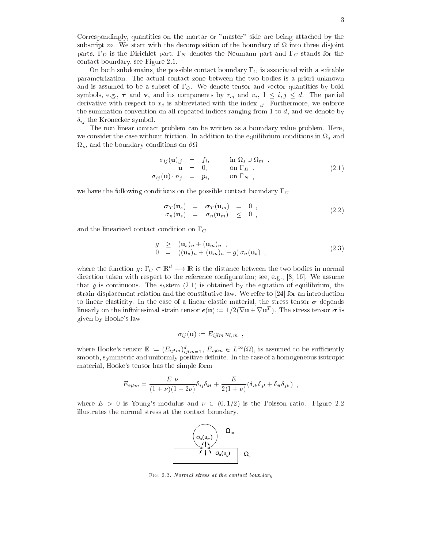Correspondingly, quantities on the mortar or "master" side are being atta
hed by the subs
ript m. We start with the de
omposition of the boundary of into three disjoint parts,  $\Gamma_D$  is the Dirichlet part,  $\Gamma_N$  denotes the Neumann part and  $\Gamma_C$  stands for the onta
t boundary, see Figure 2.1.

On both subdomains, the possible contact boundary  $\Gamma_C$  is associated with a suitable parametrization. The a
tual onta
t zone between the two bodies is a priori unknown and is assumed to be a subset of  $\Gamma_C$ . We denote tensor and vector quantities by bold symbols, e.g.,  $\tau$  and  $\mathbf{v}$ , and its components by  $\tau_{ij}$  and  $v_i$ ,  $1 \leq i, j \leq d$ . The partial derivative with respect to  $x_j$  is abbreviated with the index  $\mu$ . Furthermore, we enforce the summation onvention on all repeated indi
es ranging from 1 to d, and we denote by  $\delta_{ij}$  the Kronecker symbol.

The non linear onta
t problem an be written as a boundary value problem. Here, where the equilibrium  $\sigma$ <sup>m</sup> and the boundary onditions on

$$
-\sigma_{ij}(\mathbf{u})_{,j} = f_i, \quad \text{in } \Omega_s \cup \Omega_m ,
$$
  
\n
$$
\mathbf{u} = 0, \quad \text{on } \Gamma_D ,
$$
  
\n
$$
\sigma_{ij}(\mathbf{u}) \cdot n_j = p_i, \quad \text{on } \Gamma_N ,
$$
\n(2.1)

we have the following conditions on the possible contact boundary  $\Gamma_C$ 

$$
\begin{array}{rcl}\n\sigma_T(\mathbf{u}_s) & = & \sigma_T(\mathbf{u}_m) = 0 \\
\sigma_n(\mathbf{u}_s) & = & \sigma_n(\mathbf{u}_m) \leq 0\n\end{array},\n\tag{2.2}
$$

and the linearized contact condition on  $\Gamma_C$ 

$$
g \geq (\mathbf{u}_s)_n + (\mathbf{u}_m)_n ,\n0 = ((\mathbf{u}_s)_n + (\mathbf{u}_m)_n - g) \sigma_n(\mathbf{u}_s) ,
$$
\n(2.3)

where the function  $g: L_C \subseteq \mathbb{R}^+ \longrightarrow \mathbb{R}$  is the distance between the two bodies in normal direction taken with respect to the reference configuration; see, e.g., [8, 16]. We assume that g is continuous. The system  $(2.1)$  is obtained by the equation of equilibrium, the strain-displacement relation and the constitutive law. We refer to  $[24]$  for an introduction to linear elasticity. In the case of a linear elastic material, the stress tensor  $\sigma$  depends innearly on the infinitesimal strain tensor  $\epsilon(u) := 1/2(\nu u + \nu u)$ . The stress tensor  $\sigma$  is given by Hooke's law

$$
\sigma_{ij}(\mathbf{u}) := E_{ijlm} u_{l,m} ,
$$

where Hooke's tensor  $\mathbf{E} := (E_{ijlm})_{ijlm=1}^d$ ,  $E_{ijlm} \in L^{\infty}(\Omega)$ , is assumed to be sufficiently smooth, symmetric and uniformly positive definite. In the case of a homogeneous isotropic material, Hooke's tensor has the simple form

$$
E_{ijlm} = \frac{E \nu}{(1+\nu)(1-2\nu)} \delta_{ij}\delta_{kl} + \frac{E}{2(1+\nu)} (\delta_{ik}\delta_{jl} + \delta_{il}\delta_{jk}) ,
$$

where  $E > 0$  is Young's modulus and  $\nu \in (0, 1/2)$  is the Poisson ratio. Figure 2.2 illustrates the normal stress at the contact boundary.



FIG. 2.2. Normal stress at the contact boundary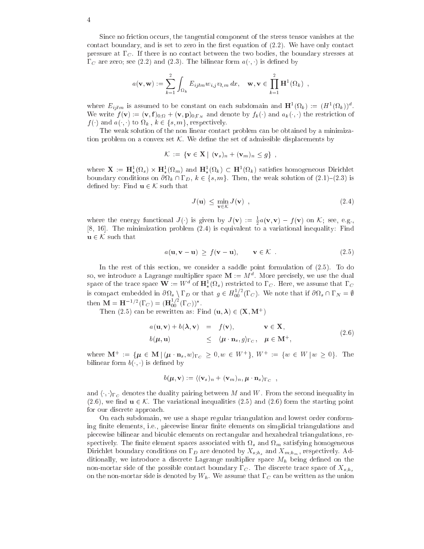Since no friction occurs, the tangential component of the stress tensor vanishes at the contact boundary, and is set to zero in the first equation of  $(2.2)$ . We have only contact pressure at  $\Gamma_C$ . If there is no contact between the two bodies, the boundary stresses at  $\Gamma_C$  are zero; see (2.2) and (2.3). The bilinear form  $a(\cdot, \cdot)$  is defined by

$$
a(\mathbf{v}, \mathbf{w}) := \sum_{k=1}^{2} \int_{\Omega_k} E_{ijlm} w_{i,j} v_{l,m} dx, \quad \mathbf{w}, \mathbf{v} \in \prod_{k=1}^{2} \mathbf{H}^1(\Omega_k) ,
$$

where  $E_{iilm}$  is assumed to be constant on each subdomain and  $\mathbf{H}^1(\Omega_k) := (H^1(\Omega_k))^d$ . We write  $f(\mathbf{v}) := (\mathbf{v}, \mathbf{1})_{0;\Omega} + (\mathbf{v}, \mathbf{p})_{0;\Gamma_N}$  and denote by  $f_k(\cdot)$  and  $a_k(\cdot, \cdot)$  the restriction of f () and a few from a few forces in the first property.

The weak solution of the non-linear contact problem can be obtained by a minimization problem on a convex set  $K$ . We define the set of admissible displacements by

$$
\mathcal{K} := \{ \mathbf{v} \in \mathbf{X} \mid (\mathbf{v}_s)_n + (\mathbf{v}_m)_n \leq g \},
$$

where  $\mathbf{X} := \mathbf{H}^1_*(\Omega_s) \times \mathbf{H}^1_*(\Omega_m)$  and  $\mathbf{H}^1_*(\Omega_k) \subset \mathbf{H}^1(\Omega_k)$  satisfies homogeneous Dirichlet boundary conditions on  $\alpha$  fs; the  $k$  fs; matrix  $k$  fs; means of (2.1)  $\alpha$  is  $\alpha$  is the weak solution of  $\alpha$ defined by: Find  $\mathbf{u} \in \mathcal{K}$  such that

$$
J(\mathbf{u}) \le \min_{\mathbf{v} \in \mathcal{K}} J(\mathbf{v}) \tag{2.4}
$$

where the energy functional  $J(\cdot)$  is given by  $J(\mathbf{v}) := \frac{1}{2} a(\mathbf{v}, \mathbf{v}) - f(\mathbf{v})$  on K; see, e.g., [8, 16]. The minimization problem  $(2.4)$  is equivalent to a variational inequality: Find  $\mathbf{u} \in \mathcal{K}$  such that

$$
a(\mathbf{u}, \mathbf{v} - \mathbf{u}) \ge f(\mathbf{v} - \mathbf{u}), \qquad \mathbf{v} \in \mathcal{K} \tag{2.5}
$$

In the rest of this section, we consider a saddle point formulation of  $(2.5)$ . To do so, we introduce a Lagrange multiplier space  $M := M^\circ$  . More precisely, we use the dual space of the trace space  $\mathbf{W} := W^d$  of  $\mathbf{H}^1_*(\Omega_s)$  restricted to  $\Gamma_C$ . Here, we assume that  $\Gamma_C$ \* (\* \* is compact embedded in  $\partial\Omega_s \setminus \Gamma_D$  or that  $g \in H_{00}^{1/2}(\Gamma_C)$ . We note that if  $\partial\Omega_s \cap \Gamma_N = \emptyset$ then  $\mathbf{M} = \mathbf{H}^{-1/2}(\Gamma_C) = (\mathbf{H}_{00}^{1/2}(\Gamma_C))^*$ .

Then (2.5) can be rewritten as: Find  $(\mathbf{u}, \lambda) \in (\mathbf{X}, \mathbf{M}^+)$ 

$$
a(\mathbf{u}, \mathbf{v}) + b(\lambda, \mathbf{v}) = f(\mathbf{v}), \qquad \mathbf{v} \in \mathbf{X},
$$
  
\n
$$
b(\mu, \mathbf{u}) \leq \langle \mu \cdot \mathbf{n}_s, g \rangle_{\Gamma_G}, \quad \mu \in \mathbf{M}^+,
$$
\n(2.6)

where  $\mathbf{M}^+ := \{ \mu \in \mathbf{M} \, | \, \langle \mu \cdot \mathbf{n}_s, w \rangle_{\Gamma_G} \geq 0, w \in W^+ \}, W^+ := \{ w \in W \, | \, w \geq 0 \}.$  The bilinear form  $b($ ,  $)$  is defined by

$$
b(\boldsymbol{\mu}, \mathbf{v}) := \langle (\mathbf{v}_s)_n + (\mathbf{v}_m)_n, \boldsymbol{\mu} \cdot \mathbf{n}_s \rangle_{\Gamma_C} ,
$$

and  $\langle \cdot, \cdot \rangle_{\Gamma_C}$  denotes the duality pairing between M and W. From the second inequality in  $(2.6)$ , we find  $\mathbf{u} \in \mathcal{K}$ . The variational inequalities  $(2.5)$  and  $(2.6)$  form the starting point for our dis
rete approa
h.

On each subdomain, we use a shape regular triangulation and lowest order conforming finite elements, i.e., piecewise linear finite elements on simplicial triangulations and pie
ewise bilinear and bi
ubi elements on re
tangular and hexahedral triangulations, rer p and the species of the satisfying the space of the satisfying the space of  $\mu$  and the satisfying modern compo Dirichlet boundary conditions on  $\Gamma_D$  are denoted by  $X_{s,h_s}$  and  $X_{m,h_m}$ , respectively. Additionally, we introduce a discrete Lagrange multiplier space  $M_h$  being defined on the non-mortar side of the possible contact boundary  $\Gamma_C$ . The discrete trace space of  $X_{s,h_s}$ on the non-mortar side is denoted by  $W_h$ . We assume that  $\Gamma_C$  can be written as the union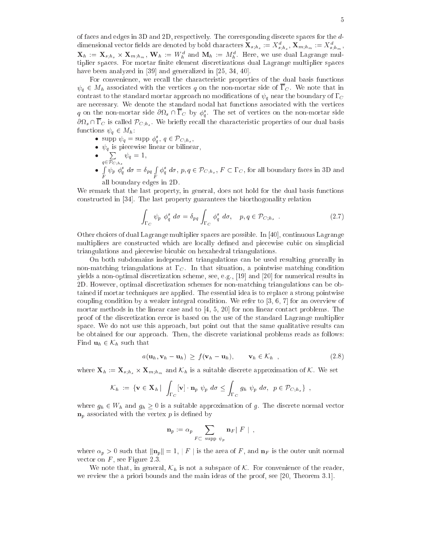of fa
es and edges in 3D and 2D, respe
tively. The orresponding dis
rete spa
es for the ddimensional vector neids are denoted by bold characters  ${\bf x}_{s;h_s}:=X_{\vec s;h_s},\,{\bf x}_{m;h_m}:=X_{\vec s;h_m},$  $\mathbf{A}_h := \mathbf{A}_{s,h_s} \times \mathbf{A}_{m,h_m}$ ,  $\mathbf{W}_h := W_h$  and  $\mathbf{M}_h := M_h$ . Here, we use dual Lagrange multiplier spaces. For mortar finite element discretizations dual Lagrange multiplier spaces have been analyzed in  $[39]$  and generalized in  $[25, 34, 40]$ .

For convenience, we recall the characteristic properties of the dual basis functions  $\psi_q \in M_h$  associated with the vertices q on the non-mortar side of  $\overline{\Gamma}_C$ . We note that in contrast to the standard mortar approach no modifications of  $\psi_q$  near the boundary of  $\Gamma_C$ are ne
essary. We denote the standard nodal hat fun
tions asso
iated with the verti
es  $q$  on the non-mortar side  $\mathcal{O}(t_s + 1)$  is  $\mathcal{O}_q$ . The set of vertices on the non-mortar side  $\sigma$  $\iota_s$  is called  $\iota_{C;h_s}$ . We briefly recall the enarated bit properties of our dual basis functions  $\psi_q \in M_h$ :

- supp  $\psi_q = \text{supp } \varphi_q$ ,  $q \in \mathcal{P}_{C,h_s}$ ,
- q is pie
ewise linear or bilinear,
- $\bullet$   $\sum$  $2 - C$ ;  $\log$  $\tau$   $\mu$   $\tau$   $\tau$ •  $\int \psi_p \phi_q^s d\sigma = \delta_{pq} \int \phi_q^s d\sigma, p, q \in \mathcal{P}_{C;h_s}, F \subset \Gamma_C$ , for all boundary faces in 3D and <sup>R</sup>
- all boundary edges in  $2$

We remark that the last property, in general, does not hold for the dual basis functions constructed in [34]. The last property guarantees the biorthogonality relation

$$
\int_{\Gamma_C} \psi_p \phi_q^s \ d\sigma = \delta_{pq} \int_{\Gamma_C} \phi_q^s \ d\sigma, \quad p, q \in \mathcal{P}_{C;h_s} \tag{2.7}
$$

Other choices of dual Lagrange multiplier spaces are possible. In [40], continuous Lagrange multipliers are constructed which are locally defined and piecewise cubic on simplicial triangulations and piecewise bicubic on hexahedral triangulations.

On both subdomains independent triangulations an be used resulting generally in non-matching triangulations at  $\Gamma_C$ . In that situation, a pointwise matching condition yields a non-optimal discretization scheme, see, e.g., [19] and [20] for numerical results in 2D. However, optimal dis
retization s
hemes for non-mat
hing triangulations an be obtained if mortar techniques are applied. The essential idea is to replace a strong pointwise coupling condition by a weaker integral condition. We refer to  $[3, 6, 7]$  for an overview of mortar methods in the linear case and to  $[4, 5, 20]$  for non linear contact problems. The proof of the dis
retization error is based on the use of the standard Lagrange multiplier space. We do not use this approach, but point out that the same qualitative results can be obtained for our approa
h. Then, the dis
rete variational problems reads as follows: Find  $\mathbf{u}_h \in \mathcal{K}_h$  such that

$$
a(\mathbf{u}_h, \mathbf{v}_h - \mathbf{u}_h) \ge f(\mathbf{v}_h - \mathbf{u}_h), \qquad \mathbf{v}_h \in \mathcal{K}_h \quad , \tag{2.8}
$$

where  $\mathbf{x}_n := \mathbf{x}_{s;h_s} \wedge \mathbf{x}_{m;h_m}$  and  $\mathcal{R}_h$  is a suitable discrete approximation of  $\mathcal{R}_h$ . We set

$$
\mathcal{K}_h := \{ \mathbf{v} \in \mathbf{X}_h \mid \int_{\Gamma_C} [\mathbf{v}] \cdot \mathbf{n}_p \; \psi_p \; d\sigma \leq \int_{\Gamma_C} g_h \; \psi_p \; d\sigma, \; p \in \mathcal{P}_{C;h_s} \} \; ,
$$

where  $g_h \in W_h$  and  $g_h \geq 0$  is a suitable approximation of g. The discrete normal vector  $\mathbf{n}_p$  associated with the vertex p is defined by

$$
\mathbf{n}_p := \alpha_p \sum_{F \subset \text{ supp } \psi_p} \mathbf{n}_F |F| ,
$$

where  $\alpha_p > 0$  such that  $\|\mathbf{n}_p\| = 1$ ,  $\|F\|$  is the area of F, and  $\mathbf{n}_F$  is the outer unit normal vector on  $F$ , see Figure 2.3.

We note that, in general,  $\mathcal{K}_h$  is not a subspace of  $\mathcal{K}$ . For convenience of the reader, we review the a priori bounds and the main ideas of the proof, see  $[20,$  Theorem 3.1.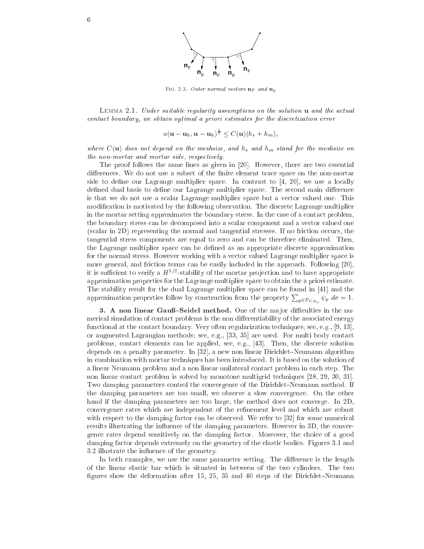

FIG. 2.3. Outer normal vectors  $n_F$  and  $n_p$ 

Lemma 2.1. Under suitable regularity assumptions on the solution u and the a
tual onta
t boundary, we obtain optimal <sup>a</sup> priori estimates for the dis
retization error

$$
a(\mathbf{u}-\mathbf{u}_h,\mathbf{u}-\mathbf{u}_h)^{\frac{1}{2}} \leq C(\mathbf{u})(h_s+h_m),
$$

where C(up) does not depend on the meshsizer, and he and meshsize, and he meshsize on the non-mortar and mortar side, respe
tively.

The proof follows the same lines as given in  $[20]$ . However, there are two essential differences. We do not use a subset of the finite element trace space on the non-mortar side to define our Lagrange multiplier space. In contrast to  $[4, 20]$ , we use a locally defined dual basis to define our Lagrange multiplier space. The second main difference is that we do not use a s
alar Lagrange multiplier spa
e but a ve
tor valued one. This modification is motivated by the following observation. The discrete Lagrange multiplier in the mortar setting approximates the boundary stress. In the case of a contact problem, the boundary stress an be de
omposed into a s
alar omponent and a ve
tor valued one (scalar in 2D) representing the normal and tangential stresses. If no friction occurs, the tangential stress omponents are equal to zero and an be therefore eliminated. Then, the Lagrange multiplier spa
e an be dened as an appropriate dis
rete approximation for the normal stress. However working with a vector valued Lagrange multiplier space is more general, and friction terms can be easily included in the approach. Following [20], it is sufficient to verify a  $H^{1/2}$ -stability of the mortar projection and to have appropriate approximation properties for the Lagrange multiplier spa
e to obtain the a priori estimate. The stability result for the dual Lagrange multiplier space can be found in [41] and the approximation properties follow by construction from the property  $\sum_{p\in\mathcal{P}_{C;h_s}}\psi_p\;d\sigma=1.$ 

3. A non linear Gauß–Seidel method. One of the major difficulties in the numerical simulation of contact problems is the non differentiability of the associated energy functional at the contact boundary. Very often regularization techniques; see, e.g., [9, 13], or augmented Lagrangian methods; see, e.g., [33, 35] are used. For multi body contact problems, contact elements can be applied, see, e.g., [43]. Then, the discrete solution depends on a penalty parameter. In  $[32]$ , a new non linear Dirichlet–Neumann algorithm in ombination with mortar te
hniques has been introdu
ed. It is based on the solution of a linear Neumann problem and a non linear unilateral contact problem in each step. The non linear contact problem is solved by monotone multigrid techniques [28, 29, 30, 31]. Two damping parameters control the convergence of the Dirichlet–Neumann method. If the damping parameters are too small, we observe a slow onvergen
e. On the other hand if the damping parameters are too large, the method does not converge. In 2D, onvergen
e rates whi
h are independent of the renement level and whi
h are robust with respect to the damping factor can be observed. We refer to  $[32]$  for some numerical results illustrating the influence of the damping parameters. However in 3D, the convergen
e rates depend sensitively on the damping fa
tor. Moreover, the hoi
e of a good damping fa
tor depends extremely on the geometry of the elasti bodies. Figures 3.1 and 3.2 illustrate the in
uen
e of the geometry.

In both examples, we use the same parameter setting. The difference is the length of the linear elasti bar whi
h is situated in between of the two ylinders. The two figures show the deformation after 15, 25, 35 and 40 steps of the Dirichlet-Neumann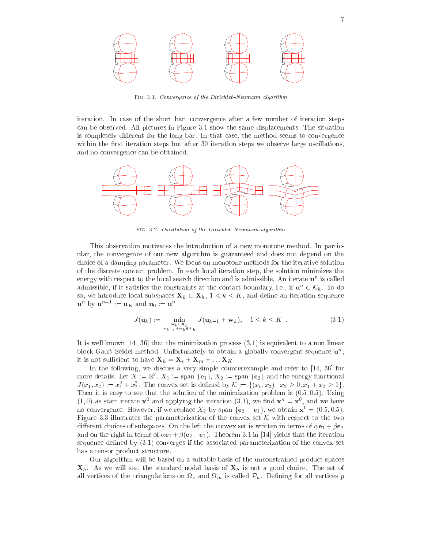

FIG. 3.1. Convergence of the Dirichlet-Neumann algorithm

iteration. In ase of the short bar, onvergen
e after a few number of iteration steps an be observed. All pi
tures in Figure 3.1 show the same displa
ements. The situation is completely different for the long bar. In that case, the method seems to convergence within the first iteration steps but after 30 iteration steps we observe large oscillations, and no onvergen
e an be obtained.



FIG. 3.2. Oscillation of the Dirichlet-Neumann algorithm

This observation motivates the introduction of a new monotone method. In particular, the onvergen
e of our new algorithm is guaranteed and does not depend on the hoi
e of a damping parameter. We fo
us on monotone methods for the iterative solution of the dis
rete onta
t problem. In ea
h lo
al iteration step, the solution minimizes the energy with respect to the local search direction and is admissible. An iterate **u**n is caned admissible, if it satisfies the constraints at the contact boundary, i.e., if  $\mathbf{u}^{\dots} \in \mathcal{N}_h$ . To do so, we introduce local subspaces  $\mathbf{X}_k \subset \mathbf{X}_h$ ,  $1 \leq k \leq K$ , and define an iteration sequence  $\mathbf{u}^n$  by  $\mathbf{u}^{n+1} := \mathbf{u}_K$  and  $\mathbf{u}_0 := \mathbf{u}^n$ 

$$
J(\mathbf{u}_k) := \min_{\substack{\mathbf{w}_k \in \mathbf{X}_k \\ \mathbf{u}_{k-1} + \mathbf{w}_k \in \mathcal{K}_h}} J(\mathbf{u}_{k-1} + \mathbf{w}_k), \quad 1 \le k \le K \quad . \tag{3.1}
$$

It is well known [14, 36] that the minimization process  $(3.1)$  is equivalent to a non linear block Gaub-Seidel method. Unfortunately to obtain a globally convergent sequence **u**<sup>1</sup>, it is not sufficient to have  $\mathbf{X}_h = \mathbf{X}_s + \mathbf{X}_m + \dots + \mathbf{X}_K$ .

In the following, we discuss a very simple counterexample and refer to  $[14, 36]$  for more details. Let  $X := \mathbb{R}^2$ ,  $X_1 := \text{span} \{\mathbf{e}_1\}, X_2 := \text{span} \{\mathbf{e}_2\}$  and the energy functional  $J(x_1, x_2) := x_1^2 + x_2^2$ . The convex set is defined by  $\mathcal{K} := \{(x_1, x_2) \mid x_2 \geq 0, x_1 + x_2 \geq 1\}.$ Then it is easy to see that the solution of the minimization problem is  $(0.5, 0.5)$ . Using  $(1,0)$  as start iterate  $\mathbf{x}^0$  and applying the iteration  $(3.1)$ , we find  $\mathbf{x}^n = \mathbf{x}^0$ , and we have no convergence. However, if we replace  $X_2$  by span  $\{e_2 - e_1\}$ , we obtain  $\mathbf{x}^1 = (0.5, 0.5)$ . Figure 3.3 illustrates the parameterization of the convex set  $K$  with respect to the two different choices of subspaces. On the left the convex set is written in terms of  $\alpha \mathbf{e}_1 + \beta \mathbf{e}_2$ and on the right in terms of  $\alpha \mathbf{e}_1 + \beta(\mathbf{e}_2 - \mathbf{e}_1)$ . Theorem 3.1 in [14] yields that the iteration sequence defined by  $(3.1)$  converges if the associated parameterization of the convex set has a tensor produ
t stru
ture.

Our algorithm will be based on a suitable basis of the unconstrained product spaces  $\mathbf{X}_h$ . As we will see, the standard nodal basis of  $\mathbf{X}_h$  is not a good choice. The set of alled the triangulations on the triangulation of  $\mu$  is and  $\mu$  is the contracted the triangulation  $\mu$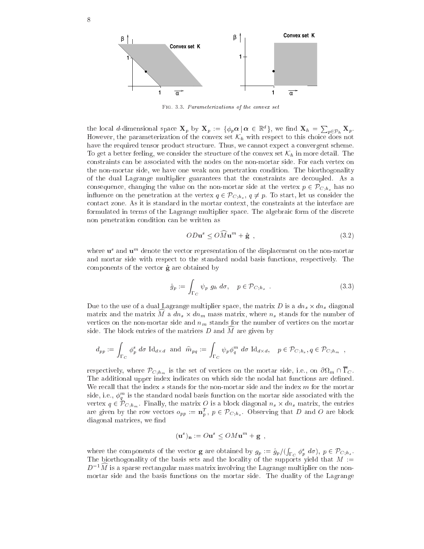

FIG. 3.3. Parameterizations of the convex set

the local d-dimensional space  $\mathbf{X}_p$  by  $\mathbf{X}_p := \{\phi_p \boldsymbol{\alpha} \, | \, \boldsymbol{\alpha} \in \mathbb{R}^d\}$ , we find  $\mathbf{X}_h = \sum_{p \in \mathcal{P}_h} \mathbf{X}_p$ . However, the parameterization of the convex set  $\mathcal{K}_h$  with respect to this choice does not have the required tensor product structure. Thus, we cannot expect a convergent scheme. To get a better feeling, we consider the structure of the convex set  $\mathcal{K}_h$  in more detail. The constraints can be associated with the nodes on the non-mortar side. For each vertex on the non-mortar side, we have one weak non penetration condition. The biorthogonality of the dual Lagrange multiplier guarantees that the onstraints are de
oupled. As a consequence, changing the value on the non-mortar side at the vertex  $p \in \mathcal{P}_{C,h_{s}}$  has no influence on the penetration at the vertex  $q \in \mathcal{P}_{C;h_s}$ ,  $q \neq p$ . To start, let us consider the onta
t zone. As it is standard in the mortar ontext, the onstraints at the interfa
e are formulated in terms of the Lagrange multiplier spa
e. The algebrai form of the dis
rete non penetration ondition an be written as

$$
OD\mathbf{u}^s \le OM\mathbf{u}^m + \hat{\mathbf{g}} \tag{3.2}
$$

where **u** and **u**m denote the vector representation of the displacement on the non-mortar and mortar side with respe
t to the standard nodal basis fun
tions, respe
tively. The components of the vector  $\hat{g}$  are obtained by

$$
\hat{g}_p := \int_{\Gamma_C} \psi_p \ g_h \ d\sigma, \quad p \in \mathcal{P}_{C;h_s} \tag{3.3}
$$

Due to the use of <sup>a</sup> dual Lagrange multiplier spa
e, the matrix <sup>D</sup> is <sup>a</sup> dns - dns diagonal  $m$ atrix and the matrix  $m$  a  $an_s \wedge an_m$  mass matrix, where  $n_s$  stands for the number of vertices on the non-mortar side and  $n<sub>m</sub>$  stands for the number of vertices on the mortar side. The block entries of the matrices  $D$  and  $M$  are given by

$$
d_{pp} := \int_{\Gamma_C} \phi_p^s \, d\sigma \, \mathrm{Id}_{d \times d} \text{ and } \hat{m}_{pq} := \int_{\Gamma_C} \psi_p \phi_q^m \, d\sigma \, \mathrm{Id}_{d \times d}, \quad p \in \mathcal{P}_{C;h_s}, q \in \mathcal{P}_{C;h_m}
$$

respectively, where  $\ell \in \{n_m\}$  is the set of vertices on the mortar side, i.e., on  $\sigma \nu_m \mapsto \epsilon$ . The additional upper index indicates on which side the nodal hat functions are defined. We recall that the index s stands for the non-mortar side and the index m for the mortar side, i.e.,  $\varphi_a^{\scriptscriptstyle\rm{m}}$  is the standard nodal basis function on the mortar side associated with the vertex  $q \in V_{C,h_m}$ . Finally, the matrix  $\sigma$  is a block diagonal ns  $\alpha$  ans matrix, the entries are given by the row vectors  $o_{pp} := \mathbf{n}_p^*$ ,  $p \in \text{PC}_{;h_s}$ . Observing that D and O are block diagonal matrices, we find

$$
(\mathbf{u}^s)_\mathbf{n} := O\mathbf{u}^s \le OM\mathbf{u}^m + \mathbf{g} \ ,
$$

where the omponents of the ve
tor <sup>g</sup> are obtained by gp := g^p=(  $\int_{\Gamma_C} \phi_p^s \ d\sigma$ ,  $p \in \mathcal{P}_{C,h_s}$ . The biorthogonality of the basis sets and the locality of the supports yield that  $M :=$  $D^{-1}\widehat{M}$  is a sparse rectangular mass matrix involving the Lagrange multiplier on the nonmortar side and the basis fun
tions on the mortar side. The duality of the Lagrange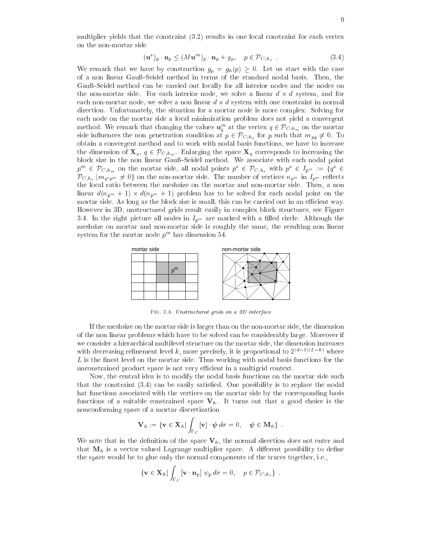multiplier yields that the constraint  $(3.2)$  results in one local constraint for each vertex on the non-mortar side

$$
(\mathbf{u}^s)_p \cdot \mathbf{n}_p \le (M \mathbf{u}^m)_p \cdot \mathbf{n}_p + g_p, \quad p \in \mathcal{P}_{C;h_s} \tag{3.4}
$$

We remark that we have by construction  $g_p = g_h(p) \geq 0$ . Let us start with the case of a non linear Gauß–Seidel method in terms of the standard nodal basis. Then, the Gauß–Seidel method can be carried out locally for all interior nodes and the nodes on the noise contribute side. For each interior notation, we start at contrast at the system, were the ease come come on a non-mortar distribution of contents in the agencies with one come to content the component direction. Unfortunately, the situation for a mortar node is more complex. Solving for each node on the mortar side a local minimization problem does not yield a convergent method. We remark that changing the values  ${\bf u}_a^m$  at the vertex  $q \in {\rm \ell C}_{;\hbar_m}$  on the mortar side influences the non penetration condition at  $p \in \mathcal{P}_{C,h_s}$  for p such that  $m_{pq} \neq 0$ . To obtain a onvergent method and to work with nodal basis fun
tions, we have to in
rease the dimension of  $\mathbf{X}_q, q \in \mathcal{P}_{C;h_m}$ . Enlarging the space  $\mathbf{X}_q$  corresponds to increasing the block size in the non linear Gauß-Seidel method. We associate with each nodal point  $p^m \in {\color{black} {\it P}_{{\rm C};h_m}}$  on the mortar side, all nodal points  $p^r \in {\color{black} {\it P}_{{\rm C};h_s}}$  with  $p^r \in {\color{black} I_{p^m}} := \{ q^r \in {\color{black} I_{p^m}} \}$  $\mathcal{P}_{C;h_s} | m_{q^s p^m} \neq 0$  on the non-mortar side. The number of vertices  $n_{p^m}$  in  $I_{p^m}$  reflects the lo
al ratio between the meshsize on the mortar and non-mortar side. Then, a non  $\mathcal{L}$  and  $\mathcal{L}$  are  $\mathcal{L}$  . The solution of the solved for the solved for  $\mathcal{L}$  and  $\mathcal{L}$ mortar side. As long as the block size is small, this can be carried out in an efficient way. However in 3D, unstru
tured grids result easily in omplex blo
k stru
tures, see Figure 3.4. In the right picture all nodes in  $I_{p^m}$  are marked with a filled circle. Although the meshsize on mortar and non-mortar side is roughly the same, the resulting non linear system for the mortar node  $p^{\ldots}$  has dimension 54.



FIG. 3.4. Unstructured grids on a 2D interface

If the meshsize on the mortar side is larger than on the non-mortar side, the dimension of the non linear problems whi
h have to be solved an be onsiderably large. Moreover if we consider a hierarchical multilevel structure on the mortar side, the dimension increases with decreasing refinement level k, more precisely, it is proportional to  $2^{(d-1)(L-k)}$  where  $L$  is the finest level on the mortar side. Thus working with nodal basis functions for the unconstrained product space is not very efficient in a multigrid context.

Now, the central idea is to modify the nodal basis functions on the mortar side such that the constraint  $(3.4)$  can be easily satisfied. One possibility is to replace the nodal hat fun
tions asso
iated with the verti
es on the mortar side by the orresponding basis functions of a suitable constrained space  $V<sub>h</sub>$ . It turns out that a good choice is the non
onforming spa
e of a mortar dis
retization

$$
\mathbf{V}_h := \{ \mathbf{v} \in \mathbf{X}_h \, | \int_{\Gamma_C} [\mathbf{v}] \cdot \boldsymbol{\psi} \, d\sigma = 0, \quad \boldsymbol{\psi} \in \mathbf{M}_h \} \ .
$$

We note that in the definition of the space  $V_h$ , the normal direction does not enter and that  $M_h$  is a vector valued Lagrange multiplier space. A different possibility to define the spa
e would be to glue only the normal omponents of the tra
es together, i.e.,

$$
\{ \mathbf{v} \in \mathbf{X}_h \, | \int_{\Gamma_C} [\mathbf{v} \cdot \mathbf{n}_p] \, \psi_p \, d\sigma = 0, \quad p \in \mathcal{P}_{C; h_s} \} .
$$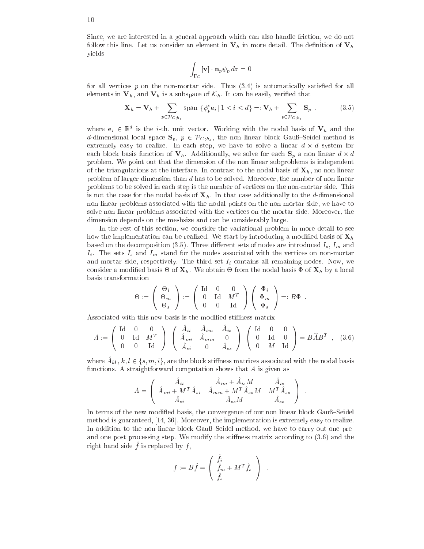Sin
e, we are interested in a general approa
h whi
h an also handle fri
tion, we do not follow this line. Let us consider an element in  $V_h$  in more detail. The definition of  $V_h$ yields

$$
\int_{\Gamma_C} [\mathbf{v}] \cdot \mathbf{n}_p \psi_p d\sigma = 0
$$

for all vertices  $p$  on the non-mortar side. Thus  $(3.4)$  is automatically satisfied for all elements in  $V_h$ , and  $V_h$  is a subspace of  $\mathcal{K}_h$ . It can be easily verified that

$$
\mathbf{X}_h = \mathbf{V}_h + \sum_{p \in \mathcal{P}_{C,h_s}} \text{span } \{ \phi_p^s \mathbf{e}_i \, | \, 1 \le i \le d \} =: \mathbf{V}_h + \sum_{p \in \mathcal{P}_{C,h_s}} \mathbf{S}_p \tag{3.5}
$$

where  $\mathbf{e}_i$   $\in$   $\mathbb{R}^+$  is the *i*-th. unit vector. Working with the nodal basis of  $\mathbf{v}_h$  and the d-dimensional local space  $S_p$ ,  $p \in \mathcal{P}_{C;h_s}$ , the non linear block Gauß–Seidel method is extremely easy to realize. In the step, we have to solve a linear distribution of the system for the system for  $\mathbf{p}$ problem. We point out that the dimension of the non linear subproblems is independent of the triangulations at the interface. In contrast to the nodal basis of  $\mathbf{X}_h$ , no non linear problem of larger dimension than d has to be solved. Moreover, the number of non linear problems to be solved in each step is the number of vertices on the non-mortar side. This is not the case for the nodal basis of  $\mathbf{X}_h$ . In that case additionally to the *d*-dimensional non linear problems asso
iated with the nodal points on the non-mortar side, we have to solve non linear problems asso
iated with the verti
es on the mortar side. Moreover, the dimension depends on the meshsize and can be considerably large.

In the rest of this section, we consider the variational problem in more detail to see how the implementation can be realized. We start by introducing a modified basis of  $\mathbf{X}_h$ based on the decomposition (3.5). Three different sets of nodes are introduced  $I_s$ ,  $I_m$  and  $I_i$ . The sets  $I_s$  and  $I_m$  stand for the nodes associated with the vertices on non-mortar and mortar side, respectively. The third set  $I_i$  contains all remaining nodes. Now, we onsider a modification of  $\alpha$  is  $\alpha$  and  $\alpha$  is a local basis of  $\alpha$  and  $\alpha$  is a local basis of  $\alpha$ basis transformation

$$
\Theta := \left( \begin{array}{c} \Theta_i \\ \Theta_m \\ \Theta_s \end{array} \right) := \left( \begin{array}{ccc} \textrm{Id} & 0 & 0 \\ 0 & \textrm{Id} & M^T \\ 0 & 0 & \textrm{Id} \end{array} \right) \left( \begin{array}{c} \Phi_i \\ \Phi_m \\ \Phi_s \end{array} \right) =: B \Phi \enspace .
$$

Associated with this new basis is the modified stiffness matrix

$$
A := \left(\begin{array}{ccc} \text{Id} & 0 & 0 \\ 0 & \text{Id} & M^T \\ 0 & 0 & \text{Id} \end{array}\right) \left(\begin{array}{ccc} A_{ii} & A_{im} & A_{is} \\ \hat{A}_{mi} & \hat{A}_{mm} & 0 \\ \hat{A}_{si} & 0 & \hat{A}_{ss} \end{array}\right) \left(\begin{array}{ccc} \text{Id} & 0 & 0 \\ 0 & \text{Id} & 0 \\ 0 & M & \text{Id} \end{array}\right) = B\hat{A}B^T , (3.6)
$$

where  $A_{kl}$ ,  $\kappa, \iota \in \{s, m, \iota\}$ , are the block stimiless matrices associated with the nodal basis functions. A straightforward computation shows that A is given as

$$
A = \left(\begin{array}{ccc} \hat A_{ii} & \hat A_{im} + \hat A_{is} M & \hat A_{is} \\ \hat A_{mi} + M^T \hat A_{si} & \hat A_{mm} + M^T \hat A_{ss} M & M^T \hat A_{ss} \\ \hat A_{si} & \hat A_{ss} M & \hat A_{ss} \end{array}\right)
$$

In terms of the new modified basis, the convergence of our non linear block Gauß–Seidel method is guaranteed,  $[14, 36]$ . Moreover, the implementation is extremely easy to realize. In addition to the non linear block Gauß–Seidel method, we have to carry out one preand one post processing step. We modify the stiffness matrix according to  $(3.6)$  and the  $\liminf$  is replaced by  $f$ ,

$$
f := B\hat{f} = \begin{pmatrix} \hat{f}_i \\ \hat{f}_m + M^T \hat{f}_s \\ \hat{f}_s \end{pmatrix} .
$$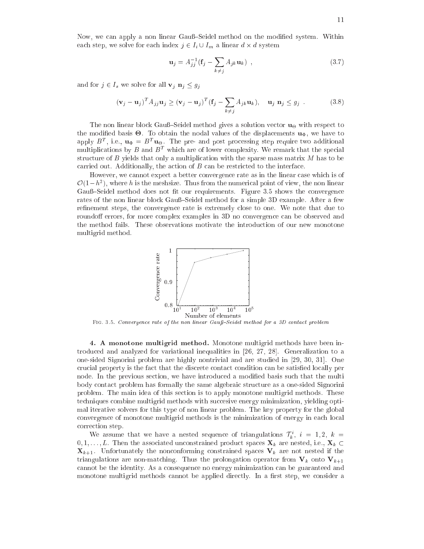Now, we can apply a non linear Gauß–Seidel method on the modified system. Within each step, we solve for each index index index index in the system of  $\omega$ 

$$
\mathbf{u}_{j} = A_{jj}^{-1} \left( \mathbf{f}_{j} - \sum_{k \neq j} A_{jk} \mathbf{u}_{k} \right) , \qquad (3.7)
$$

and for  $j \in I_s$  we solve for all  $\mathbf{v}_j \cdot \mathbf{n}_j \leq g_j$ 

$$
(\mathbf{v}_j - \mathbf{u}_j)^T A_{jj} \mathbf{u}_j \ge (\mathbf{v}_j - \mathbf{u}_j)^T (\mathbf{f}_j - \sum_{k \ne j} A_{jk} \mathbf{u}_k), \quad \mathbf{u}_j \mathbf{n}_j \le g_j
$$
 (3.8)

The non linear block Gau $_{5}$ eldel method gives a solution vector  $\mathbf{u}_{\Theta}$  with respect to the modified basis  $\Theta$ . To obtain the nodal values of the displacements  $\mathfrak{u}_\Phi,$  we have to apply  $D^+$ , i.e.,  $\mathbf{u}_\Phi = D^- \mathbf{u}_\Theta$ . The pre- and post processing step require two additional  $m$ ultiplications by  $D$  and  $D$  – which are of lower complexity. We remark that the special structure of B yields that only a multiplication with the sparse mass matrix M has to be carried out. Additionally, the action of  $B$  can be restricted to the interface.

However, we cannot expect a better convergence rate as in the linear case which is of  $\mathcal{O}(1-h^2)$ , where h is the meshsize. Thus from the numerical point of view, the non linear Gauß-Seidel method does not fit our requirements. Figure 3.5 shows the convergence rates or th<u>e non amear block G</u>aup Beluer method for a simple SD example. After a few refinement steps, the convergence rate is extremely close to one. We note that due to roundoff errors, for more complex examples in 3D no convergence can be observed and the method fails. These observations motivate the introdu
tion of our new monotone multigrid method.



FIG. 3.5. Convergence rate of the non linear Gauß-Seidel method for a 3D contact problem

4. A monotone multigrid method. Monotone multigrid methods have been introduced and analyzed for variational inequalities in  $[26, 27, 28]$ . Generalization to a one-sided Signorini problem are highly nontrivial and are studied in  $[29, 30, 31]$ . One crucial property is the fact that the discrete contact condition can be satisfied locally per node. In the previous section, we have introduced a modified basis such that the multi body contact problem has formally the same algebraic structure as a one-sided Signorini problem. The main idea of this se
tion is to apply monotone multigrid methods. These techniques combine multigrid methods with succesive energy minimization, yielding optimal iterative solvers for this type of non linear problem. The key property for the global convergence of monotone multigrid methods is the minimization of energy in each local orre
tion step.

We assume that we have a nested sequence of triangulations  $T_k$ ,  $i = 1, 2, \kappa =$  $0, 1, \ldots, L$ . Then the associated unconstrained product spaces  $\mathbf{X}_k$  are nested, i.e.,  $\mathbf{X}_k \subset$  $\mathbf{X}_{k+1}$ . Unfortunately the nonconforming constrained spaces  $\mathbf{V}_k$  are not nested if the triangulations are non-matching. Thus the prolongation operator from  $V_k$  onto  $V_{k+1}$ annot be the identity. As a onsequen
e no energy minimization an be guaranteed and monotone multigrid methods cannot be applied directly. In a first step, we consider a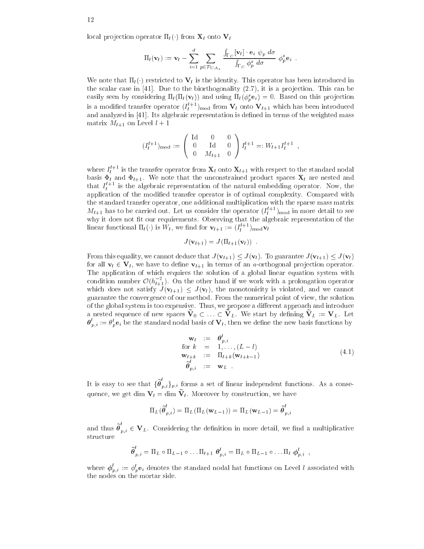local projection operator  $\Pi_l(\cdot)$  from  $\mathbf{X}_l$  onto  $\mathbf{V}_l$ 

$$
\Pi_l(\mathbf{v}_l) := \mathbf{v}_l - \sum_{i=1}^d \sum_{p \in \mathcal{P}_{C,h_s}} \frac{\int_{\Gamma_C} [\mathbf{v}_l] \cdot \mathbf{e}_i \ \psi_p \ d\sigma}{\int_{\Gamma_C} \phi_p^s \ d\sigma} \ \phi_p^s \mathbf{e}_i \ .
$$

We note that  $\Pi_l(\cdot)$  restricted to  $V_l$  is the identity. This operator has been introduced in the scalar case in  $[41]$ . Due to the biorthogonality  $(2.7)$ , it is a projection. This can be easily seen by considering  $\Pi_l(\Pi_l(V_l))$  and using  $\Pi_l(\varphi_p^*e_i)=0$ . Based on this projection is a modified transfer operator  $(I_l^{l+1})_{\text{mod}}$  from  $\mathbf{V}_l$  onto  $\mathbf{V}_{l+1}$  which has been introduced and and an letter in first and in the weighted in the mass of the weighted mass of the weighted mass of the wei matrix  $M_{l+1}$  on Level  $l+1$ 

$$
(I_l^{l+1})_{\text{mod}} := \begin{pmatrix} \text{Id} & 0 & 0 \\ 0 & \text{Id} & 0 \\ 0 & M_{l+1} & 0 \end{pmatrix} I_l^{l+1} =: W_{l+1} I_l^{l+1} ,
$$

where  $I_l^{l+1}$  is the transfer operator from  $\mathbf{X}_l$  onto  $\mathbf{X}_{l+1}$  with respect to the standard nodal basis  $\Phi_l$  and  $\Phi_{l+1}$ . We note that the unconstrained product spaces  $\mathbf{X}_l$  are nested and that  $I_t^{l+1}$  is the algebraic representation of the natural embedding operator. Now, the appli
ation of the modied transfer operator is of optimal omplexity. Compared with the standard transfer operator, one additional multipli
ation with the sparse mass matrix  $M_{l+1}$  has to be carried out. Let us consider the operator  $(I_l^{l+1})_{\text{mod}}$  in more detail to see where the control the control of the control to observe the algebraic the algebraic the control of the control linear functional  $\Pi_l(\cdot)$  is  $W_l$ , we find for  $\mathbf{v}_{l+1} := (I_l^{l+1})_{\text{mod}} \mathbf{v}_l$ 

$$
J(\mathbf{v}_{l+1})=J(\Pi_{l+1}(\mathbf{v}_l))\enspace.
$$

From this equality, we cannot deduce that  $J(\mathbf{v}_{l+1}) \leq J(\mathbf{v}_l)$ . To guarantee  $J(\mathbf{v}_{l+1}) \leq J(\mathbf{v}_l)$ for all  $\mathbf{v}_l \in \mathbf{V}_l$ , we have to define  $\mathbf{v}_{l+1}$  in terms of an *a*-orthogonal projection operator. The application of which requires the solution of a global linear equation system with condition number  $\mathcal{O}(h_{l+1}^{-2})$ . On the other hand if we work with a prolongation operator which does not satisfy  $J(\mathbf{v}_{l+1}) \leq J(\mathbf{v}_l)$ , the monotonicity is violated, and we cannot guarantee the onvergen
e of our method. From the numeri
al point of view, the solution of the global system is too expensive. Thus, we propose a different approach and introduce a nested sequence of new spaces  $\mathbf{v}_0 \subset \ldots \subset \mathbf{v}_L$  we start by defining  $\mathbf{v}_L = \mathbf{v}_L$ . Let  $\bm{\theta}_{n,i} := \theta_n^* \mathbf{e}_i$  be the standard nodal basis of  $\mathbf{v}_l,$  then we define the new basis functions by

$$
\begin{array}{rcl}\n\mathbf{w}_l & := & \boldsymbol{\theta}_{p,i}^{\iota} \\
\text{for } k & = & 1, \dots, (L-l) \\
\mathbf{w}_{l+k} & := & \Pi_{l+k}(\mathbf{w}_{l+k-1}) \\
\vec{\boldsymbol{\theta}}_{p,i}^{l} & := & \mathbf{w}_L\n\end{array} \tag{4.1}
$$

It is easy to see that  $\{\theta_{p,i}\}_{p,i}$  forms a set of linear independent functions. As a conse $q$ uence, we get  $q$ ini  $\mathbf{v}_l =$   $q$ ini  $\mathbf{v}_l$ . Moreover by construction, we have

$$
\Pi_L(\widetilde{\boldsymbol{\theta}}_{p,i}^t) = \Pi_L(\Pi_L(\mathbf{w}_{L-1})) = \Pi_L(\mathbf{w}_{L-1}) = \widetilde{\boldsymbol{\theta}}_{p,i}^t
$$

and thus  $\theta_{p,i} \in V_L$ . Considering the definition in more detail, we find a multiplicative structure

$$
\widetilde{\theta}_{p,i}^t = \Pi_L \circ \Pi_{L-1} \circ \ldots \Pi_{l+1} \theta_{p,i}^l = \Pi_L \circ \Pi_{L-1} \circ \ldots \Pi_l \phi_{p,i}^l,
$$

where  $\varphi_{n,i} := \varphi_p^* \mathbf{e}_i$  denotes the standard nodal hat functions on Level l associated with the nodes on the mortar side.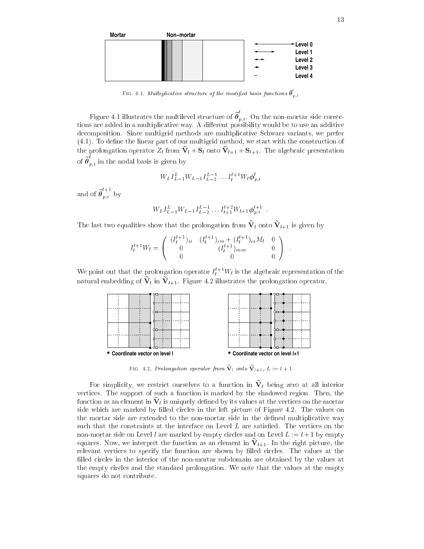

FIG. 4.1. Multiplicative structure of the modified basis functions  $\boldsymbol{\theta}_{p,i}$ 

Figure 4.1 illustrates the multilevel structure of  $\theta_{n,i}$ . On the non-mortar side corrections are added in a multiplicative way. A different possibility would be to use an additive de
omposition. Sin
e multigrid methods are multipli
ative S
hwarz variants, we prefer  $(4.1)$ . To define the linear part of our multigrid method, we start with the construction of the prolongation operator  $Z_l$  from  $\mathbf{v}_l + \mathbf{s}_l$  onto  $\mathbf{v}_{l+1} + \mathbf{s}_{l+1}$ . The algebraic presentation of  $\theta_{n,i}$  in the nodal basis is given by

$$
W_L I_{L-1}^L W_{L-1} I_{L-2}^{L-1} \dots I_l^{l+1} W_l \phi_{p,i}^l
$$

and of  $\widetilde{\theta}_{n,i}^{l+1}$  $p,i \quad \circ \;$ 

$$
W_L I_{L-1}^L W_{L-1} I_{L-2}^{L-1} \dots I_{l+1}^{l+2} W_{l+1} \phi_{p,i}^{l+1} .
$$

The last two equalities show that the prolongation from  $\mathbf{v}_l$  onto  $\mathbf{v}_{l+1}$  is given by

$$
I_l^{l+1}W_l = \begin{pmatrix} (I_l^{l+1})_{ii} & (I_l^{l+1})_{im} + (I_l^{l+1})_{is}M_l & 0\\ 0 & (I_l^{l+1})_{mm} & 0\\ 0 & 0 & 0 \end{pmatrix}
$$

We point out that the prolongation operator  $I_l^{l+1}W_l$  is the algebraic representation of the hatural embedding of  $\mathbf{v}_l$  in  $\mathbf{v}_{l+1}$ . Figure 4.2 illustrates the prolongation operator.



Fig. 4.2. Prolongation operator from  $V_l$  onto  $V_{l+1}$ ,  $L := l + 1$ 

For simplicity, we restrict ourselves to a function in  $\mathbf{v}_l$  being zero at all interior vertices. The support of such a function is marked by the shadowed region. Then, the  $\frac{1}{100}$  as an element in  $\bf v$  is uniquely defined by its values at the vertices on the mortar side which are marked by filled circles in the left picture of Figure 4.2. The values on the mortar side are extended to the non-mortar side in the defined multiplicative way such that the constraints at the interface on Level L are satisfied. The vertices on the non-mortar side on Level l are marked by empty circles and on Level  $L := l + 1$  by empty  $_{\rm square}$  is the function as an element in  $\rm v_{\it l+1}$ . In the right picture, the relevant vertices to specify the function are shown by filled circles. The values at the filled circles in the interior of the non-mortar subdomain are obtained by the values at the empty circles and the standard prolongation. We note that the values at the empty squares do not contribute.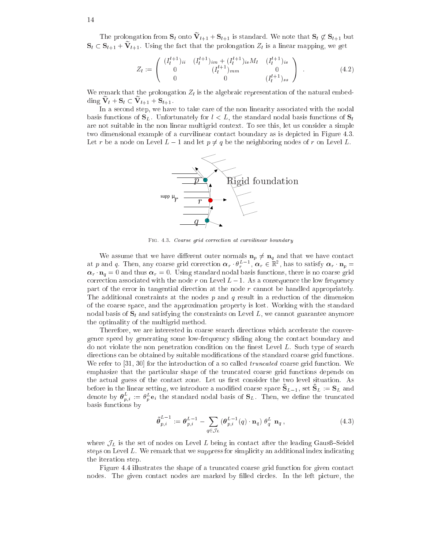The prolongation from  $S_l$  onto  $V_{l+1} + S_{l+1}$  is standard. We note that  $S_l \nsubseteq S_{l+1}$  but  $S_l \subset S_{l+1} + V_{l+1}$ . Using the fact that the prolongation  $Z_l$  is a linear mapping, we get

$$
Z_l := \begin{pmatrix} (I_l^{l+1})_{ii} & (I_l^{l+1})_{im} + (I_l^{l+1})_{is} M_l & (I_l^{l+1})_{is} \\ 0 & (I_l^{l+1})_{mm} & 0 \\ 0 & 0 & (I_l^{l+1})_{ss} \end{pmatrix} .
$$
 (4.2)

We remark that the prolongation  $Z_l$  is the algebraic representation of the natural embed- $\lim_{l \to \infty} \mathbf{v}_l + \mathbf{v}_l \subset \mathbf{v}_{l+1} + \mathbf{v}_{l+1}$ .

In a second step, we have to take care of the non linearity associated with the nodal basis functions of  $S_L$ . Unfortunately for  $l < L$ , the standard nodal basis functions of  $S_l$ are not suitable in the non linear multigrid ontext. To see this, let us onsider a simple two dimensional example of a curvilinear contact boundary as is depicted in Figure 4.3. Let r be a node on Level  $L-1$  and let  $p \neq q$  be the neighboring nodes of r on Level L.



FIG. 4.3. Coarse grid correction at curvilinear boundary

We assume that we have different outer normals  $\mathbf{n}_p \neq \mathbf{n}_q$  and that we have contact at p and q. Then, any coarse grid correction  $\alpha_r \cdot \theta_r^{L-1}$ ,  $\alpha_r \in \mathbb{R}^2$ , has to satisfy  $\alpha_r \cdot \mathbf{n}_p =$  $\alpha_r \cdot \mathbf{n}_q = 0$  and thus  $\alpha_r = 0$ . Using standard nodal basis functions, there is no coarse grid correction associated with the node r on Level  $L-1$ . As a consequence the low frequency part of the error in tangential dire
tion at the node r annot be handled appropriately. The additional constraints at the nodes  $p$  and  $q$  result in a reduction of the dimension of the oarse spa
e, and the approximation property is lost. Working with the standard nodal basis of  $S_l$  and satisfying the constraints on Level L, we cannot guarantee anymore the optimality of the multigrid method.

Therefore, we are interested in coarse search directions which accelerate the convergence speed by generating some low-frequency sliding along the contact boundary and do not violate the non penetration condition on the finest Level L. Such type of search directions can be obtained by suitable modifications of the standard coarse grid functions. We refer to  $[31, 30]$  for the introduction of a so called *truncated* coarse grid function. We emphasize that the particular shape of the truncated coarse grid functions depends on the actual guess of the contact zone. Let us first consider the two level situation. As before in the imear setting, we introduce a modified coarse space  $S_{L=1}$ , set  $S_{L} := S_{L}$  and denote by  $\boldsymbol{\theta}_{n,i}^- := \theta_n^{\omega} \mathbf{e}_i$  the standard nodal basis of  $\mathbf{S}_L$ . Then, we define the truncated basis fun
tions by

$$
\tilde{\boldsymbol{\theta}}_{p,i}^{L-1} := \boldsymbol{\theta}_{p,i}^{L-1} - \sum_{q \in \mathcal{J}_L} (\boldsymbol{\theta}_{p,i}^{L-1}(q) \cdot \mathbf{n}_q) \boldsymbol{\theta}_q^L \mathbf{n}_q ,
$$
\n(4.3)

where  $\mathcal{J}_L$  is the set of nodes on Level L being in contact after the leading Gausß–Seidel steps on Level L. We remark that we suppress for simplicity an additional index indicating the iteration step.

Figure 4.4 illustrates the shape of a truncated coarse grid function for given contact nodes. The given contact nodes are marked by filled circles. In the left picture, the

14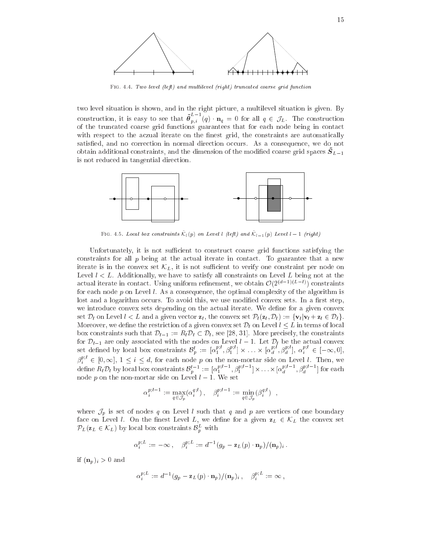

FIG. 4.4. Two level (left) and multilevel (right) truncated coarse grid function

two level situation is shown, and in the right picture, a multilevel situation is given. By construction, it is easy to see that  $\tilde{\theta}^{L-1}_{\dots}$  $p,i$  (1)  $-q$  on an  $q$   $\in$   $\cup$   $L$ . The construction of the trun
ated oarse grid fun
tions guarantees that for ea
h node being in onta
t with respect to the aczual iterate on the finest grid, the constraints are automatically satisfied, and no correction in normal direction occurs. As a consequence, we do not obtain additional constraints, and the dimension of the modified coarse grid spaces  $\sigma_{L=1}$ is not redu
ed in tangential dire
tion.



 $\Gamma$ 10. 4.5. Locul vox construints  $\mathcal{N}_{\{p\}}$  on Level (left) and  $\mathcal{N}_{\{p\}}$  Level  $\Gamma = 1$  (right)

Unfortunately, it is not sufficient to construct coarse grid functions satisfying the constraints for all  $p$  being at the actual iterate in contact. To guarantee that a new iterate is in the convex set  $\mathcal{K}_L$ , it is not sufficient to verify one constraint per node on Level  $l < L$ . Additionally, we have to satisfy all constraints on Level L being not at the actual iterate in contact. Using uniform refinement, we obtain  $\mathcal{O}(2^{(d-1)(L-l)})$  constraints for each node  $p$  on Level l. As a consequence, the optimal complexity of the algorithm is lost and a logarithm occurs. To avoid this, we use modified convex sets. In a first step, we introduce convex sets depending on the actual iterate. We define for a given convex set  $\mathcal{D}_l$  on Level  $l < L$  and a given vector  $\mathbf{z}_l$ , the convex set  $\mathcal{P}_l(\mathbf{z}_l, \mathcal{D}_l) := {\mathbf{v}_l | \mathbf{v}_l + \mathbf{z}_l \in \mathcal{D}_l}.$ Moreover, we define the restriction of a given convex set  $\mathcal{D}_l$  on Level  $l \leq L$  in terms of local box constraints such that  $\mathcal{D}_{l-1} := R_l \mathcal{D}_l \subset \mathcal{D}_l$ , see [28, 31]. More precisely, the constraints for  $\nu_{l-1}$  are only associated with the nodes on Level  $l-1$ . Let  $\nu_{l}$  be the actual convex set defined by local box constraints  $\mathcal{B}_p^l := [\alpha_1^{p;l}, \beta_1^{p;l}] \times \ldots \times [\alpha_d^{p;l}, \beta_d^{p;l}], \alpha_i^{p;l} \in [-\infty, 0],$  $\beta_i^{p;l} \in [0, \infty], 1 \le i \le d$ , for each node p on the non-mortar side on Level *l*. Then, we define  $R_l \mathcal{D}_l$  by local box constraints  $\mathcal{B}_b^{l-1} := [\alpha_1^{p;l-1}, \beta_1^{p;l-1}] \times \ldots \times [\alpha_d^{p;l-1}, \beta_d^{p;l-1}]$  for each node p on the non-mortar side on Level  $l-1$ . We set

$$
\alpha_i^{p;l-1} := \max_{q \in \mathcal{J}_p} (\alpha_i^{q;l}), \quad \beta_i^{p;l-1} := \min_{q \in \mathcal{J}_p} (\beta_i^{q;l}) \quad ,
$$

where  $\mathcal{J}_p$  is set of nodes q on Level l such that q and p are vertices of one boundary face on Level l. On the finest Level L, we define for a given  $z_L \in \mathcal{K}_L$  the convex set  $PL(Z_L \in \mathcal{N}_L)$  by local box constraints  $\mathcal{D}_n$  with

$$
\alpha_i^{p;L} := -\infty\,,\quad \beta_i^{p;L} := d^{-1}(g_p - \mathbf{z}_L(p) \cdot \mathbf{n}_p) / (\mathbf{n}_p)_i\,.
$$

if  $(\mathbf{n}_p)_i > 0$  and

$$
\alpha_i^{p;L} := d^{-1}(g_p - \mathbf{z}_L(p) \cdot \mathbf{n}_p) / (\mathbf{n}_p)_i \,, \quad \beta_i^{p;L} := \infty \,,
$$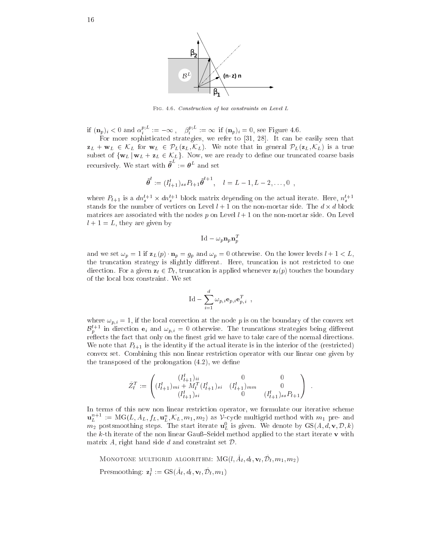

FIG. 4.6. Construction of box constraints on Level L

if  $(\mathbf{n}_p)_i < 0$  and  $\alpha_i^{p,\perp} := -\infty$ ,  $\beta_i^{p,\perp} := \infty$  if  $(\mathbf{n}_p)_i = 0$ , see Figure 4.6.

For more sophisti
ated strategies, we refer to [31, 28℄. It an be easily seen that  $z_L + w_L \in \mathcal{K}_L$  for  $w_L \in \mathcal{P}_L(z_L, \mathcal{K}_L)$ . We note that in general  $\mathcal{P}_L(z_L, \mathcal{K}_L)$  is a true subset of  $\{w_L | w_L + z_L \in \mathcal{K}_L\}$ . Now, we are ready to define our truncated coarse basis recursively. We start with  $\boldsymbol{\theta}^- := \boldsymbol{\theta}^{\perp}$ 

$$
\tilde{\theta}^l := (I_{l+1}^l)_{ss} P_{l+1} \tilde{\theta}^{l+1}, \quad l = L-1, L-2, \ldots, 0 ,
$$

where  $P_{l+1}$  is a  $dn_s^{l+1} \times dn_s^{l+1}$  block matrix depending on the actual iterate. Here,  $n_s^{l+1}$ stands for the number of the the number of the non-mortal side. The side is the non-mortal district of the nonmatrices are associated with the nodes p on Level  $l + 1$  on the non-mortar side. On Level  $l + 1 = L$ , they are given by

$$
\mathrm{Id} - \omega_p \mathbf{n}_p \mathbf{n}_p^T
$$

and we set  $\omega_p = 1$  if  $\mathbf{z}_L(p) \cdot \mathbf{n}_p = g_p$  and  $\omega_p = 0$  otherwise. On the lower levels  $l + 1 < L$ , the truncation strategy is slightly different. Here, truncation is not restricted to one direction. For a given  $z_l \in \mathcal{D}_l$ , truncation is applied whenever  $z_l(p)$  touches the boundary of the lo
al box onstraint. We set

$$
\mathrm{Id} - \sum_{i=1}^d \omega_{p,i} \mathbf{e}_{p,i} \mathbf{e}_{p,i}^T \enspace ,
$$

where  $\omega_{p,i} = 1$ , if the local correction at the node p is on the boundary of the convex set  $\mathcal{B}_p^{l+1}$  in direction  $e_i$  and  $\omega_{p,i} = 0$  otherwise. The truncations strategies being different reflects the fact that only on the finest grid we have to take care of the normal directions. We note that  $P_{l+1}$  is the identity if the actual iterate is in the interior of the (restricted) convex set. Combining this non linear restriction operator with our linear one given by the transposed of the prolongation  $(4.2)$ , we define

$$
\tilde{Z}_l^T := \begin{pmatrix} (I_{l+1}^l)_{ii} & 0 & 0 \\ (I_{l+1}^l)_{mi} + M_l^T (I_{l+1}^l)_{si} & (I_{l+1}^l)_{mm} & 0 \\ (I_{l+1}^l)_{si} & 0 & (I_{l+1}^l)_{ss} P_{l+1} \end{pmatrix}
$$

In terms of this new non linear restri
tion operator, we formulate our iterative s
heme  $\mathbf{u}_L^{n+1} := \text{MG}(L, A_L, f_L, \mathbf{u}_L^n, \mathcal{K}_L, m_1, m_2)$  as V-cycle multigrid method with  $m_1$  pre- and  $m_2$  postsmoothing steps. The start iterate  $\mathbf{u}_L^0$  is given. We denote by  $\mathrm{GS}(A,d,\mathbf{v},\mathcal{D},k)$ the  $k$ -th iterate of the non linear Gauß–Seidel method applied to the start iterate  $\bf{v}$  with matrix A, right hand side  $d$  and constraint set  $\mathcal{D}$ .

INTONOTONE MULTIGRID ALGORITHM:  $M\cup \{i, A_l, u_l, v_l, D_l, m_1, m_2\}$ Presmoothing:  $\mathbf{z}_l^1 := \text{GS}(\tilde{A}_l, d_l, \mathbf{v}_l, \tilde{\mathcal{D}}_l, m_1)$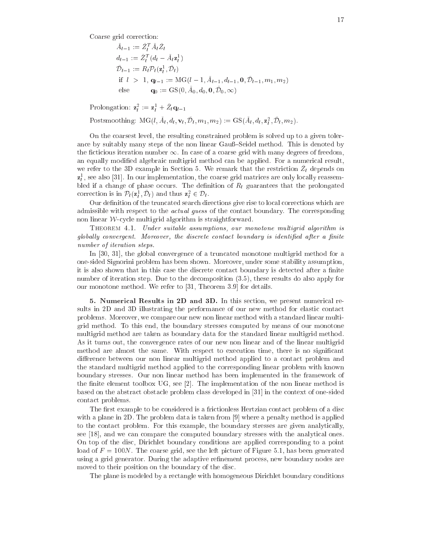Coarse grid correction:

$$
\tilde{A}_{l-1} := \tilde{Z}_l^T \tilde{A}_l \tilde{Z}_l \nd_{l-1} := \tilde{Z}_l^T (d_l - \tilde{A}_l \mathbf{z}_l^1) \n\tilde{D}_{l-1} := R_l \mathcal{P}_l(\mathbf{z}_l^1, \tilde{\mathcal{D}}_l) \n\text{if } l > 1, \mathbf{q}_{l-1} := \text{MG}(l-1, \tilde{A}_{l-1}, d_{l-1}, \mathbf{0}, \tilde{\mathcal{D}}_{l-1}, m_1, m_2) \n\text{else } \mathbf{q}_0 := \text{GS}(0, \tilde{A}_0, d_0, \mathbf{0}, \tilde{\mathcal{D}}_0, \infty)
$$

Prolongation:  $\mathbf{z}_l^2 := \mathbf{z}_l^1 + Z_l \mathbf{q}_{l-1}$ 

Postsmoothing:  $MG(l, A_l, d_l, \mathbf{v}_l, \mathcal{D}_l, m_1, m_2) := GS(A_l, d_l, \mathbf{z}_l^2, \mathcal{D}_l, m_2).$ 

On the oarsest level, the resulting onstrained problem is solved up to a given tolerance by suitably many steps of the non linear Gauß–Seidel method. This is denoted by the ficticious iteration number  $\infty$ . In case of a coarse grid with many degrees of freedom, an equally modified algebraic multigrid method can be applied. For a numerical result, we refer to the 3D example in Section 5. We remark that the restriction  $Z_{l}$  depends on  $z<sub>i</sub><sup>1</sup>$ , see also [31]. In our implementation, the coarse grid matrices are only locally reassemhange of phase of phase of phase of the decomposition of the phase of the prolongated that the prolongated the correction is in  $\mathcal{P}_l(\mathbf{z}_l^1, \mathcal{D}_l)$  and thus  $\mathbf{z}_l^2 \in \mathcal{D}_l$ .

Our definition of the truncated search directions give rise to local corrections which are admissible with respect to the *actual guess* of the contact boundary. The corresponding non linear W-cycle multigrid algorithm is straightforward.

Theorem 4.1. Under suitable assumptions, our monotone multigrid algorithm is global ly onvergent. Moreover, the dis
rete onta
t boundary is identied after <sup>a</sup> nite number of iteration steps. The interaction steps. The interaction steps. The interaction steps. The interaction steps. The interaction steps. The interaction steps. The interaction steps. The interaction steps. The interac

In  $[30, 31]$ , the global convergence of a truncated monotone multigrid method for a one-sided Signorini problem has been shown. Moreover, under some stability assumption, it is also shown that in this case the discrete contact boundary is detected after a finite number of iteration step. Due to the decomposition  $(3.5)$ , these results do also apply for our monotone method. We refer to  $[31,$  Theorem 3.9 for details.

5. Numerical Results in 2D and 3D. In this section, we present numerical results in 2D and 3D illustrating the performance of our new method for elastic contact problems. Moreover, we ompare our new non linear method with a standard linear multigrid method. To this end, the boundary stresses omputed by means of our monotone multigrid method are taken as boundary data for the standard linear multigrid method. As it turns out, the onvergen
e rates of our new non linear and of the linear multigrid method are almost the same. With respect to execution time, there is no significant difference between our non linear multigrid method applied to a contact problem and the standard multigrid method applied to the orresponding linear problem with known boundary stresses. Our non linear method has been implemented in the framework of the finite element toolbox UG, see [2]. The implementation of the non linear method is based on the abstract obstacle problem class developed in [31] in the context of one-sided onta
t problems.

The first example to be considered is a frictionless Hertzian contact problem of a disc with a plane in 2D. The problem data is taken from [9] where a penalty method is applied to the contact problem. For this example, the boundary stresses are given analytically, see  $[18]$ , and we can compare the computed boundary stresses with the analytical ones. On top of the disc, Dirichlet boundary conditions are applied corresponding to a point load of  $F = 100N$ . The coarse grid, see the left picture of Figure 5.1, has been generated using a grid generator. During the adaptive refinement process, new boundary nodes are moved to their position on the boundary of the dis
.

The plane is modeled by a rectangle with homogeneous Dirichlet boundary conditions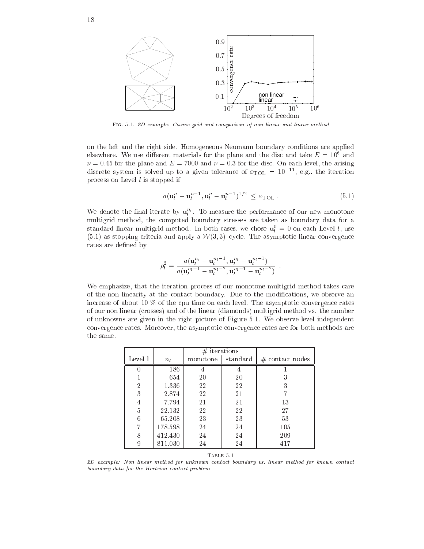

Fig. 5.1. 2D example: Coarse grid and omparison of non linear and linear method

on the left and the right side. Homogeneous Neumann boundary onditions are applied elsewhere. We use different materials for the plane and the disc and take  $E = 10^6$  and  $\nu = 0.45$  for the plane and  $E = 7000$  and  $\nu = 0.3$  for the disc. On each level, the arising discrete system is solved up to a given tolerance of  $\varepsilon_{\text{TOL}} = 10^{-11}$ , e.g., the iteration pro
ess on Level l is stopped if

$$
a(\mathbf{u}_l^n - \mathbf{u}_l^{n-1}, \mathbf{u}_l^n - \mathbf{u}_l^{n-1})^{1/2} \le \varepsilon_{\text{TOL}}.
$$
 (5.1)

<sup>l</sup>

We denote the final iterate by  $\mathbf{u}_i$ . To measure the performance of our new monotone multigrid method, the omputed boundary stresses are taken as boundary data for a standard linear multigrid method. In both cases, we chose  $\mathbf{u}_l^0 = 0$  on each Level l, use  $(5.1)$  as stopping criteria and apply a  $W(3,3)$ -cycle. The asymptotic linear convergence rates are defined by

$$
\rho_l^2 = \frac{a(\mathbf{u}_l^{n_l} - \mathbf{u}_l^{n_l-1}, \mathbf{u}_l^{n_l} - \mathbf{u}_l^{n_l-1})}{a(\mathbf{u}_l^{n_l-1} - \mathbf{u}_l^{n_l-2}, \mathbf{u}_l^{n_l-1} - \mathbf{u}_l^{n_l-2})}
$$

We emphasize, that the iteration process of our monotone multigrid method takes care of the non linearity at the contact boundary. Due to the modifications, we observe an increase of about 10  $\%$  of the cpu time on each level. The asymptotic convergence rates of our non linear (
rosses) and of the linear (diamonds) multigrid method vs. the number of unknowns are given in the right pi
ture of Figure 5.1. We observe level independent convergence rates. Moreover, the asymptotic convergence rates are for both methods are the same.

|                |         | $#$ iterations |          |                    |
|----------------|---------|----------------|----------|--------------------|
| Level 1        | $n_l$   | monotone       | standard | $\#$ contact nodes |
|                | 186     |                |          |                    |
|                | 654     | 20             | 20       | 3                  |
| $\overline{2}$ | 1.336   | 22             | 22       | 3                  |
| 3              | 2.874   | 22             | 21       |                    |
| 4              | 7.794   | 21             | 21       | 13                 |
| 5              | 22.132  | 22             | 22       | 27                 |
| 6              | 65.208  | 23             | 23       | 53                 |
|                | 178.598 | 24             | 24       | 105                |
| 8              | 412.430 | 24             | 24       | 209                |
| 9              | 811.030 | 24             | 24       | 417                |
|                |         |                |          |                    |

Table 5.1

2D example: Non linear method for unknown contact boundary vs. linear method for known contact boundary data for the Hertzian contact problem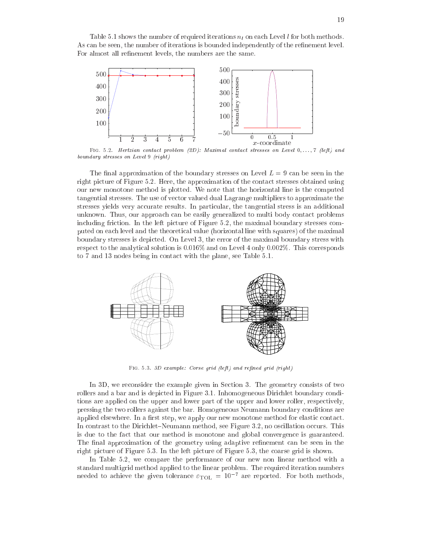

FIG. 5.2. Hertzian contact problem (2D): Maximal contact stresses on Level  $0, \ldots, 7$  (left) and boundary stresses on Level 9 (right)

The final approximation of the boundary stresses on Level  $L = 9$  can be seen in the right picture of Figure 5.2. Here, the approximation of the contact stresses obtained using our new monotone method is plotted. We note that the horizontal line is the omputed tangential stresses. The use of ve
tor valued dual Lagrange multipliers to approximate the stresses yields very accurate results. In particular, the tangential stress is an additional unknown. Thus, our approach can be easily generalized to multi body contact problems including friction. In the left picture of Figure 5.2, the maximal boundary stresses computed on ea
h level and the theoreti
al value (horizontal line with squares) of the maximal boundary stresses is depi
ted. On Level 3, the error of the maximal boundary stress with respect to the analytical solution is  $0.016\%$  and on Level 4 only 0.002%. This corresponds to 7 and 13 nodes being in contact with the plane, see Table 5.1.



FIG. 5.3. 3D example: Corse grid (left) and refined grid (right)

In 3D, we reconsider the example given in Section 3. The geometry consists of two rollers and a bar and is depicted in Figure 3.1. Inhomogeneous Dirichlet boundary conditions are applied on the upper and lower part of the upper and lower roller, respectively, pressing the two rollers against the bar. Homogeneous Neumann boundary onditions are applied elsewhere. In a first step, we apply our new monotone method for elastic contact. In contrast to the Dirichlet–Neumann method, see Figure 3.2, no oscillation occurs. This is due to the fa
t that our method is monotone and global onvergen
e is guaranteed. The final approximation of the geometry using adaptive refinement can be seen in the right picture of Figure 5.3. In the left picture of Figure 5.3, the coarse grid is shown.

In Table 5.2, we ompare the performan
e of our new non linear method with a needed to achieve the given tolerance  $\varepsilon_{\text{TOL}} = 10^{-7}$  are reported. For both methods,

 $-50$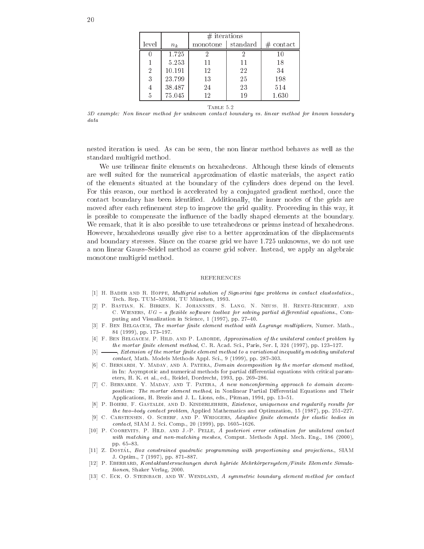|                |         | $#$ iterations |          |              |
|----------------|---------|----------------|----------|--------------|
| level          | $n_{k}$ | monotone       | standard | $\#$ contact |
|                | 1.725   |                | 2        | 10           |
|                | 5.253   | 11             | 11       | 18           |
| $\overline{2}$ | 10.191  | 12             | 22       | 34           |
| 3              | 23.799  | 13             | 25       | 198          |
| 4              | 38.487  | 24             | 23       | 514          |
| 5              | 75.045  | 12             | 19       | 1.630        |

3D example: Non linear method for unknown contact boundary vs. linear method for known boundary  $data$ 

nested iteration is used. As an be seen, the non linear method behaves as well as the standard multigrid method.

We use trilinear finite elements on hexahedrons. Although these kinds of elements are well suited for the numerical approximation of elastic materials, the aspect ratio of the elements situated at the boundary of the ylinders does depend on the level. For this reason, our method is accelerated by a conjugated gradient method, once the contact boundary has been identified. Additionally, the inner nodes of the grids are moved after each refinement step to improve the grid quality. Proceeding in this way, it is possible to ompensate the in
uen
e of the badly shaped elements at the boundary. We remark, that it is also possible to use tetrahedrons or prisms instead of hexahedrons. However, hexahedrons usually give rise to a better approximation of the displa
ements and boundary stresses. Sin
e on the oarse grid we have 1:725 unknowns, we do not use a non linear Gauss-Seidel method as coarse grid solver. Instead, we apply an algebraic monotone multigrid method.

#### REFERENCES

- [1] H. BADER AND R. HOPPE, Multigrid solution of Signorini type problems in contact elastostatics., Tech. Rep. TUM-M9304, TU München, 1993.
- [2] P. BASTIAN, K. BIRKEN, K. JOHANNSEN, S. LANG, N. NEUSS, H. RENTZ-REICHERT, AND C. WIENERS,  $UG - a$  flexible software toolbox for solving partial differential equations., Computing and Visualization in Science, 1 (1997), pp. 27-40.
- [3] F. BEN BELGACEM, The mortar finite element method with Lagrange multipliers, Numer. Math., 84 (1999), pp. 173-197.
- [4] F. BEN BELGACEM, P. HILD, AND P. LABORDE, Approximation of the unilateral contact problem by the mortar finite element method, C. R. Acad. Sci., Paris, Ser. I, 324 (1997), pp. 123-127.
- $[5] \longrightarrow$ , Extension of the mortar finite element method to a variational inequality modeling unilateral contact, Math. Models Methods Appl. Sci., 9 (1999), pp. 287-303.
- [6] C. BERNARDI, Y. MADAY, AND A. PATERA, Domain decomposition by the mortar element method, in In: Asymptotic and numerical methods for partial differential equations with critical parameters, H. K. et al., ed., Reidel, Dordrecht, 1993, pp. 269-286.
- [7] C. BERNARDI, Y. MADAY, AND T. PATERA, A new nonconforming approach to domain decomposition: The mortar element method, in Nonlinear Partial Differential Equations and Their Applications, H. Brezis and J. L. Lions, eds., Pitman, 1994, pp. 13-51.
- [8] P. BOIERI, F. GASTALDI, AND D. KINDERLEHRER, Existence, uniqueness and regularity results for the two-body contact problem, Applied Mathematics and Optimzation, 15 (1987), pp. 251-227.
- [9] C. CARSTENSEN, O. SCHERF, AND P. WRIGGERS, Adaptive finite elements for elastic bodies in contact, SIAM J. Sci. Comp., 20 (1999), pp. 1605-1626.
- [10] P. COOREVITS, P. HILD, AND J.-P. PELLE, A posteriori error estimation for unilateral contact with matching and non-matching meshes, Comput. Methods Appl. Mech. Eng., 186 (2000), pp. 65-83.
- [11] Z. Dostál, Box constrained quadratic programming with proportioning and projections., SIAM J. Optim., 7 (1997), pp. 871-887.
- [12] P. EBERHARD, Kontaktuntersuchungen durch hybride Mehrkörpersystem/Finite Elemente Simulationen, Shaker Verlag, 2000.
- [13] C. ECK, O. STEINBACH, AND W. WENDLAND, A symmetric boundary element method for contact